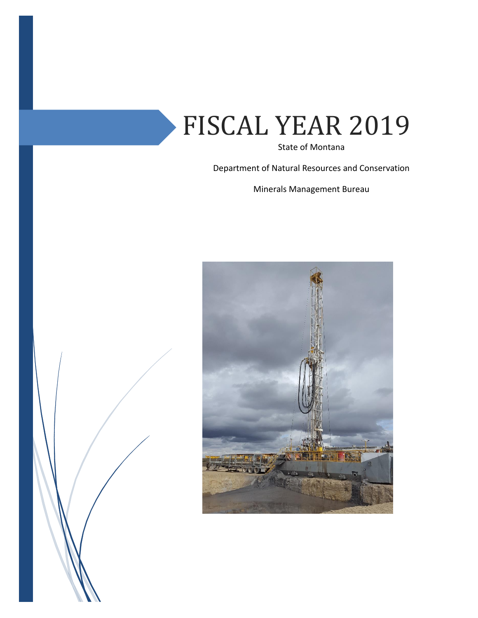# FISCAL YEAR 2019

State of Montana

Department of Natural Resources and Conservation

Minerals Management Bureau



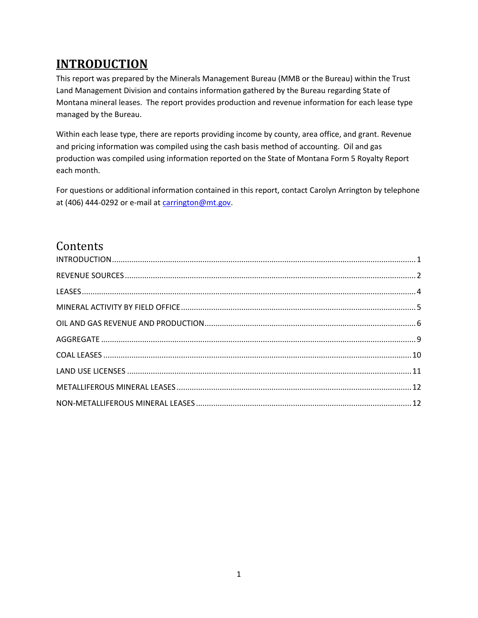# <span id="page-1-0"></span>**INTRODUCTION**

This report was prepared by the Minerals Management Bureau (MMB or the Bureau) within the Trust Land Management Division and contains information gathered by the Bureau regarding State of Montana mineral leases. The report provides production and revenue information for each lease type managed by the Bureau.

Within each lease type, there are reports providing income by county, area office, and grant. Revenue and pricing information was compiled using the cash basis method of accounting. Oil and gas production was compiled using information reported on the State of Montana Form 5 Royalty Report each month.

For questions or additional information contained in this report, contact Carolyn Arrington by telephone at (406) 444-0292 or e-mail at [carrington@mt.gov.](mailto:carrington@mt.gov)

# Contents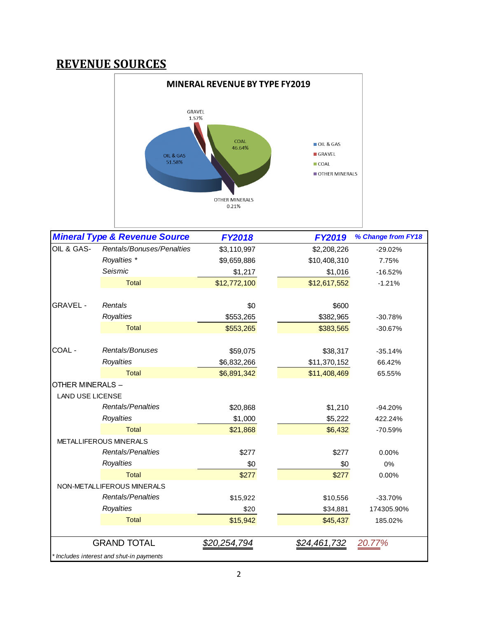# <span id="page-2-0"></span>**REVENUE SOURCES**



|                         | <b>Mineral Type &amp; Revenue Source</b> | <b>FY2018</b> | <b>FY2019</b> | % Change from FY18 |
|-------------------------|------------------------------------------|---------------|---------------|--------------------|
| OIL & GAS-              | Rentals/Bonuses/Penalties                | \$3,110,997   | \$2,208,226   | $-29.02%$          |
|                         | Royalties *                              | \$9,659,886   | \$10,408,310  | 7.75%              |
|                         | Seismic                                  | \$1,217       | \$1,016       | $-16.52%$          |
|                         | Total                                    | \$12,772,100  | \$12,617,552  | $-1.21%$           |
| <b>GRAVEL -</b>         | Rentals                                  | \$0           | \$600         |                    |
|                         | Royalties                                | \$553,265     | \$382,965     | $-30.78%$          |
|                         | Total                                    | \$553,265     | \$383,565     | $-30.67%$          |
| COAL -                  | Rentals/Bonuses                          | \$59,075      | \$38,317      | $-35.14%$          |
|                         | Royalties                                | \$6,832,266   | \$11,370,152  | 66.42%             |
|                         | Total                                    | \$6,891,342   | \$11,408,469  | 65.55%             |
| OTHER MINERALS -        |                                          |               |               |                    |
| <b>LAND USE LICENSE</b> |                                          |               |               |                    |
|                         | Rentals/Penalties                        | \$20,868      | \$1,210       | $-94.20%$          |
|                         | Royalties                                | \$1,000       | \$5,222       | 422.24%            |
|                         | Total                                    | \$21,868      | \$6,432       | -70.59%            |
|                         | METALLIFEROUS MINERALS                   |               |               |                    |
|                         | Rentals/Penalties                        | \$277         | \$277         | 0.00%              |
|                         | Royalties                                | \$0           | \$0           | 0%                 |
|                         | <b>Total</b>                             | \$277         | \$277         | 0.00%              |
|                         | NON-METALLIFEROUS MINERALS               |               |               |                    |
|                         | Rentals/Penalties                        | \$15,922      | \$10,556      | $-33.70%$          |
|                         | Royalties                                | \$20          | \$34,881      | 174305.90%         |
|                         | <b>Total</b>                             | \$15,942      | \$45,437      | 185.02%            |
|                         | <b>GRAND TOTAL</b>                       | \$20,254,794  | \$24,461,732  | 20.77%             |
|                         | * Includes interest and shut-in payments |               |               |                    |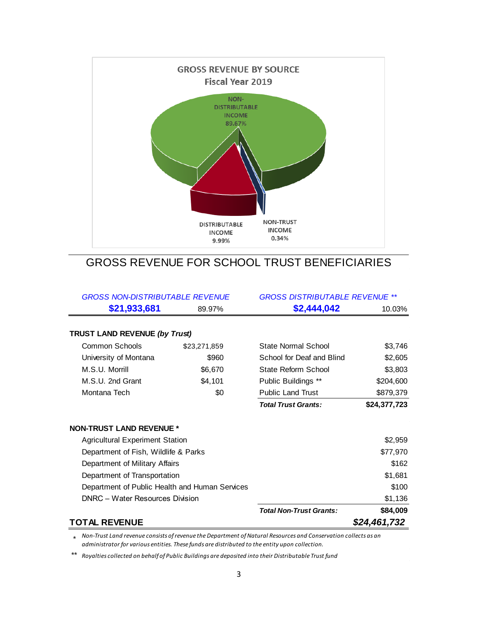

## GROSS REVENUE FOR SCHOOL TRUST BENEFICIARIES

| <b>GROSS NON-DISTRIBUTABLE REVENUE</b>         |              | <b>GROSS DISTRIBUTABLE REVENUE **</b> |              |  |  |  |
|------------------------------------------------|--------------|---------------------------------------|--------------|--|--|--|
| \$21,933,681                                   | 89.97%       | \$2,444,042                           | 10.03%       |  |  |  |
|                                                |              |                                       |              |  |  |  |
| <b>TRUST LAND REVENUE (by Trust)</b>           |              |                                       |              |  |  |  |
| <b>Common Schools</b>                          | \$23,271,859 | State Normal School                   | \$3,746      |  |  |  |
| University of Montana                          | \$960        | School for Deaf and Blind             | \$2,605      |  |  |  |
| M.S.U. Morrill                                 | \$6,670      | State Reform School                   | \$3,803      |  |  |  |
| M.S.U. 2nd Grant                               | \$4,101      | Public Buildings **                   | \$204,600    |  |  |  |
| Montana Tech                                   | \$0          | <b>Public Land Trust</b>              | \$879,379    |  |  |  |
|                                                |              | <b>Total Trust Grants:</b>            | \$24,377,723 |  |  |  |
|                                                |              |                                       |              |  |  |  |
| <b>NON-TRUST LAND REVENUE *</b>                |              |                                       |              |  |  |  |
| <b>Agricultural Experiment Station</b>         |              | \$2,959                               |              |  |  |  |
| Department of Fish, Wildlife & Parks           |              |                                       | \$77,970     |  |  |  |
| Department of Military Affairs                 |              |                                       | \$162        |  |  |  |
| Department of Transportation                   |              |                                       | \$1,681      |  |  |  |
| Department of Public Health and Human Services |              |                                       | \$100        |  |  |  |
| <b>DNRC</b> - Water Resources Division         |              |                                       | \$1,136      |  |  |  |
|                                                |              | <b>Total Non-Trust Grants:</b>        | \$84,009     |  |  |  |
| <b>TOTAL REVENUE</b>                           |              |                                       | \$24,461,732 |  |  |  |

\* *Non-Trust Land revenue consists of revenue the Department of Natural Resources and Conservation collects as an administrator for various entities. These funds are distributed to the entity upon collection.*

\*\* *Royalties collected on behalf of Public Buildings are deposited into their Distributable Trust fund*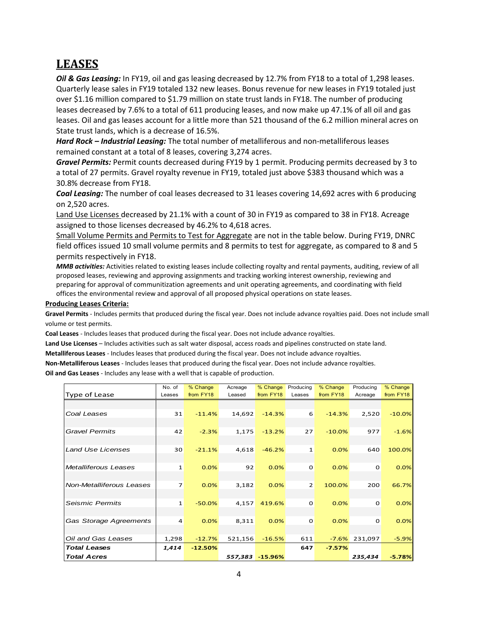# <span id="page-4-0"></span>**LEASES**

*Oil & Gas Leasing:* In FY19, oil and gas leasing decreased by 12.7% from FY18 to a total of 1,298 leases. Quarterly lease sales in FY19 totaled 132 new leases. Bonus revenue for new leases in FY19 totaled just over \$1.16 million compared to \$1.79 million on state trust lands in FY18. The number of producing leases decreased by 7.6% to a total of 611 producing leases, and now make up 47.1% of all oil and gas leases. Oil and gas leases account for a little more than 521 thousand of the 6.2 million mineral acres on State trust lands, which is a decrease of 16.5%.

*Hard Rock – Industrial Leasing:* The total number of metalliferous and non-metalliferous leases remained constant at a total of 8 leases, covering 3,274 acres.

*Gravel Permits:* Permit counts decreased during FY19 by 1 permit. Producing permits decreased by 3 to a total of 27 permits. Gravel royalty revenue in FY19, totaled just above \$383 thousand which was a 30.8% decrease from FY18.

*Coal Leasing:* The number of coal leases decreased to 31 leases covering 14,692 acres with 6 producing on 2,520 acres.

Land Use Licenses decreased by 21.1% with a count of 30 in FY19 as compared to 38 in FY18. Acreage assigned to those licenses decreased by 46.2% to 4,618 acres.

Small Volume Permits and Permits to Test for Aggregate are not in the table below. During FY19, DNRC field offices issued 10 small volume permits and 8 permits to test for aggregate, as compared to 8 and 5 permits respectively in FY18.

*MMB activities:* Activities related to existing leases include collecting royalty and rental payments, auditing, review of all proposed leases, reviewing and approving assignments and tracking working interest ownership, reviewing and preparing for approval of communitization agreements and unit operating agreements, and coordinating with field offices the environmental review and approval of all proposed physical operations on state leases.

#### **Producing Leases Criteria:**

**Gravel Permits** - Includes permits that produced during the fiscal year. Does not include advance royalties paid. Does not include small volume or test permits.

**Coal Leases** - Includes leases that produced during the fiscal year. Does not include advance royalties.

**Land Use Licenses** – Includes activities such as salt water disposal, access roads and pipelines constructed on state land.

**Metalliferous Leases** - Includes leases that produced during the fiscal year. Does not include advance royalties.

**Non-Metalliferous Leases** - Includes leases that produced during the fiscal year. Does not include advance royalties.

**Oil and Gas Leases** - Includes any lease with a well that is capable of production.

|                             | No. of         | % Change  | Acreage | % Change        | Producing      | % Change  | Producing   | % Change  |
|-----------------------------|----------------|-----------|---------|-----------------|----------------|-----------|-------------|-----------|
| Type of Lease               | Leases         | from FY18 | Leased  | from FY18       | Leases         | from FY18 | Acreage     | from FY18 |
|                             |                |           |         |                 |                |           |             |           |
| Coal Leases                 | 31             | $-11.4%$  | 14,692  | $-14.3%$        | 6              | $-14.3%$  | 2,520       | $-10.0%$  |
| <b>Gravel Permits</b>       | 42             | $-2.3%$   | 1,175   | $-13.2%$        | 27             | $-10.0%$  | 977         | $-1.6%$   |
| <b>Land Use Licenses</b>    | 30             | $-21.1%$  | 4,618   | $-46.2%$        | $\mathbf{1}$   | 0.0%      | 640         | 100.0%    |
|                             |                |           |         |                 |                |           |             |           |
| <b>Metalliferous Leases</b> | $\mathbf{1}$   | 0.0%      | 92      | 0.0%            | $\mathbf 0$    | 0.0%      | $\Omega$    | 0.0%      |
| Non-Metalliferous Leases    | $\overline{7}$ | 0.0%      | 3,182   | 0.0%            | $\overline{2}$ | 100.0%    | 200         | 66.7%     |
| <b>Seismic Permits</b>      | $\mathbf{1}$   | $-50.0%$  | 4,157   | 419.6%          | $\mathbf 0$    | 0.0%      | $\Omega$    | 0.0%      |
| Gas Storage Agreements      | 4              | 0.0%      | 8,311   | 0.0%            | $\mathbf 0$    | 0.0%      | $\mathbf 0$ | 0.0%      |
| Oil and Gas Leases          | 1,298          | $-12.7%$  | 521,156 | $-16.5%$        | 611            | $-7.6%$   | 231,097     | $-5.9%$   |
| <b>Total Leases</b>         | 1,414          | $-12.50%$ |         |                 | 647            | $-7.57%$  |             |           |
| <b>Total Acres</b>          |                |           |         | 557,383 -15.96% |                |           | 235,434     | $-5.78%$  |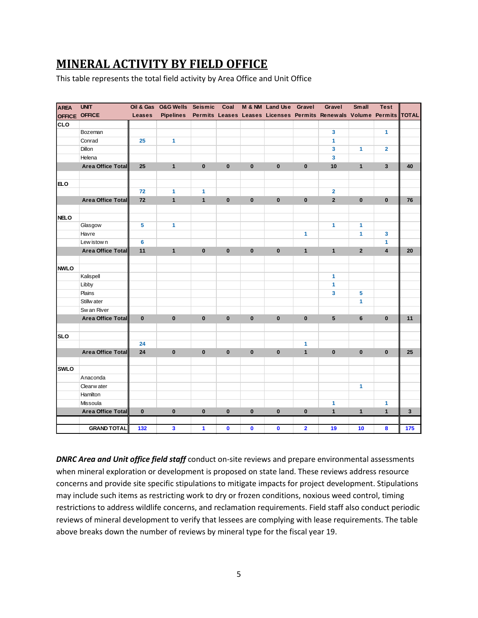# <span id="page-5-0"></span>**MINERAL ACTIVITY BY FIELD OFFICE**

This table represents the total field activity by Area Office and Unit Office

| <b>AREA</b>   | <b>UNIT</b>              | Oil & Gas     | <b>O&amp;G Wells</b> | <b>Seismic</b> | Coal         |              | M & NM Land Use Gravel |                         | Gravel                                                               | <b>Small</b>            | <b>Test</b>             |              |
|---------------|--------------------------|---------------|----------------------|----------------|--------------|--------------|------------------------|-------------------------|----------------------------------------------------------------------|-------------------------|-------------------------|--------------|
| <b>OFFICE</b> | <b>OFFICE</b>            | <b>Leases</b> | <b>Pipelines</b>     |                |              |              |                        |                         | Permits Leases Leases Licenses Permits Renewals Volume Permits TOTAL |                         |                         |              |
| <b>CLO</b>    |                          |               |                      |                |              |              |                        |                         |                                                                      |                         |                         |              |
|               | Bozeman                  |               |                      |                |              |              |                        |                         | $\mathbf{3}$                                                         |                         | 1                       |              |
|               | Conrad                   | 25            | 1                    |                |              |              |                        |                         | 1                                                                    |                         |                         |              |
|               | Dillon                   |               |                      |                |              |              |                        |                         | 3                                                                    | $\mathbf{1}$            | $\overline{2}$          |              |
|               | Helena                   |               |                      |                |              |              |                        |                         | 3                                                                    |                         |                         |              |
|               | <b>Area Office Total</b> | 25            | $\mathbf{1}$         | $\mathbf 0$    | $\mathbf 0$  | $\mathbf 0$  | $\bf{0}$               | $\mathbf 0$             | 10                                                                   | $\mathbf{1}$            | $\mathbf{3}$            | 40           |
|               |                          |               |                      |                |              |              |                        |                         |                                                                      |                         |                         |              |
| <b>ELO</b>    |                          |               |                      |                |              |              |                        |                         |                                                                      |                         |                         |              |
|               |                          | 72            | 1                    | $\mathbf{1}$   |              |              |                        |                         | $\overline{2}$                                                       |                         |                         |              |
|               | <b>Area Office Total</b> | 72            | $\mathbf{1}$         | $\mathbf{1}$   | $\pmb{0}$    | $\pmb{0}$    | $\bf{0}$               | $\pmb{0}$               | $\overline{2}$                                                       | $\pmb{0}$               | $\mathbf 0$             | 76           |
|               |                          |               |                      |                |              |              |                        |                         |                                                                      |                         |                         |              |
| <b>NELO</b>   |                          |               |                      |                |              |              |                        |                         |                                                                      |                         |                         |              |
|               | Glasgow                  | 5             | 1                    |                |              |              |                        |                         | 1                                                                    | 1                       |                         |              |
|               | Havre                    |               |                      |                |              |              |                        | $\mathbf{1}$            |                                                                      | 1                       | 3                       |              |
|               | Lew istow n              | 6             |                      |                |              |              |                        |                         |                                                                      |                         | $\mathbf{1}$            |              |
|               | <b>Area Office Total</b> | 11            | $\mathbf{1}$         | $\pmb{0}$      | $\pmb{0}$    | $\pmb{0}$    | $\pmb{0}$              | $\mathbf{1}$            | $\mathbf{1}$                                                         | $\overline{\mathbf{2}}$ | $\overline{\mathbf{4}}$ | 20           |
|               |                          |               |                      |                |              |              |                        |                         |                                                                      |                         |                         |              |
| <b>NWLO</b>   |                          |               |                      |                |              |              |                        |                         |                                                                      |                         |                         |              |
|               | Kalispell                |               |                      |                |              |              |                        |                         | $\blacktriangleleft$                                                 |                         |                         |              |
|               | Libby                    |               |                      |                |              |              |                        |                         | 1                                                                    |                         |                         |              |
|               | Plains                   |               |                      |                |              |              |                        |                         | 3                                                                    | 5                       |                         |              |
|               | Stillw ater              |               |                      |                |              |              |                        |                         |                                                                      | $\mathbf{1}$            |                         |              |
|               | Sw an River              |               |                      |                |              |              |                        |                         |                                                                      |                         |                         |              |
|               | <b>Area Office Total</b> | $\mathbf{0}$  | $\bf{0}$             | $\bf{0}$       | $\mathbf 0$  | $\mathbf 0$  | $\mathbf{0}$           | $\mathbf{0}$            | 5                                                                    | 6                       | $\mathbf{0}$            | 11           |
|               |                          |               |                      |                |              |              |                        |                         |                                                                      |                         |                         |              |
| <b>SLO</b>    |                          |               |                      |                |              |              |                        |                         |                                                                      |                         |                         |              |
|               |                          | 24            |                      |                |              |              |                        | 1                       |                                                                      |                         |                         |              |
|               | <b>Area Office Total</b> | 24            | $\bf{0}$             | $\mathbf 0$    | $\mathbf{0}$ | $\mathbf 0$  | $\mathbf{0}$           | $\mathbf{1}$            | $\mathbf{0}$                                                         | $\mathbf{0}$            | $\mathbf{0}$            | 25           |
|               |                          |               |                      |                |              |              |                        |                         |                                                                      |                         |                         |              |
| <b>SWLO</b>   |                          |               |                      |                |              |              |                        |                         |                                                                      |                         |                         |              |
|               | Anaconda                 |               |                      |                |              |              |                        |                         |                                                                      |                         |                         |              |
|               | Clearw ater              |               |                      |                |              |              |                        |                         |                                                                      | 1                       |                         |              |
|               | Hamilton                 |               |                      |                |              |              |                        |                         |                                                                      |                         |                         |              |
|               | Missoula                 |               |                      |                |              |              |                        |                         | 1                                                                    |                         | $\mathbf{1}$            |              |
|               | <b>Area Office Total</b> | $\bf{0}$      | $\bf{0}$             | $\bf{0}$       | $\bf{0}$     | $\mathbf{0}$ | $\mathbf 0$            | $\mathbf{0}$            | $\mathbf{1}$                                                         | $\mathbf{1}$            | $\mathbf{1}$            | $\mathbf{3}$ |
|               |                          |               |                      |                |              |              |                        |                         |                                                                      |                         |                         |              |
|               | <b>GRAND TOTAL</b>       | 132           | 3                    | $\mathbf{1}$   | $\mathbf 0$  | $\mathbf 0$  | $\bf{0}$               | $\overline{\mathbf{2}}$ | 19                                                                   | 10                      | 8                       | 175          |
|               |                          |               |                      |                |              |              |                        |                         |                                                                      |                         |                         |              |

*DNRC Area and Unit office field staff* conduct on-site reviews and prepare environmental assessments when mineral exploration or development is proposed on state land. These reviews address resource concerns and provide site specific stipulations to mitigate impacts for project development. Stipulations may include such items as restricting work to dry or frozen conditions, noxious weed control, timing restrictions to address wildlife concerns, and reclamation requirements. Field staff also conduct periodic reviews of mineral development to verify that lessees are complying with lease requirements. The table above breaks down the number of reviews by mineral type for the fiscal year 19.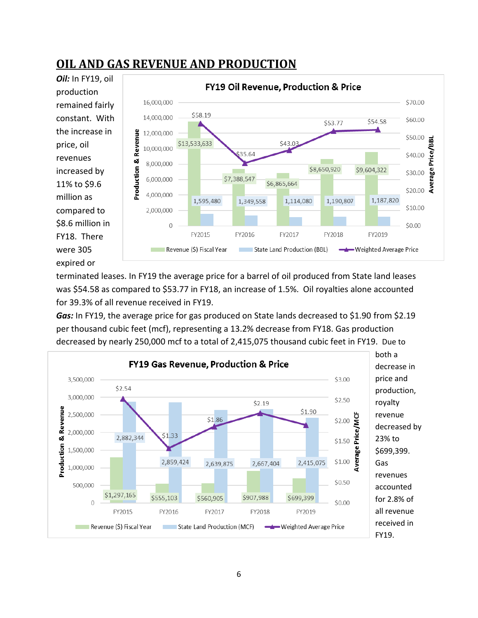# <span id="page-6-0"></span>**OIL AND GAS REVENUE AND PRODUCTION**



terminated leases. In FY19 the average price for a barrel of oil produced from State land leases was \$54.58 as compared to \$53.77 in FY18, an increase of 1.5%. Oil royalties alone accounted for 39.3% of all revenue received in FY19.

*Gas:* In FY19, the average price for gas produced on State lands decreased to \$1.90 from \$2.19 per thousand cubic feet (mcf), representing a 13.2% decrease from FY18. Gas production decreased by nearly 250,000 mcf to a total of 2,415,075 thousand cubic feet in FY19. Due to

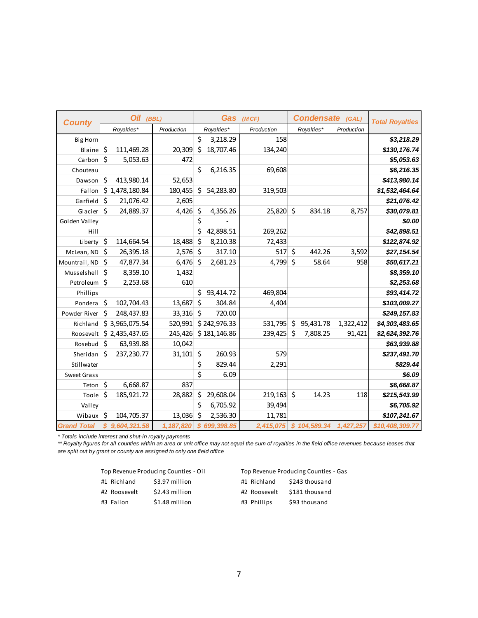| <b>County</b>      | <b>Oil</b>         | (BBL)      |                            | Gas          | (MCF)      | Condensate (GAL)        |            | <b>Total Royalties</b> |
|--------------------|--------------------|------------|----------------------------|--------------|------------|-------------------------|------------|------------------------|
|                    | Royalties*         | Production |                            | Royalties*   | Production | Royalties*              | Production |                        |
| <b>Big Horn</b>    |                    |            | \$                         | 3,218.29     | 158        |                         |            | \$3,218.29             |
| Blaine             | \$<br>111,469.28   | 20,309     | \$                         | 18,707.46    | 134,240    |                         |            | \$130,176.74           |
| Carbon             | \$<br>5,053.63     | 472        |                            |              |            |                         |            | \$5,053.63             |
| Chouteau           |                    |            | \$                         | 6,216.35     | 69,608     |                         |            | \$6,216.35             |
| Dawson             | \$<br>413,980.14   | 52,653     |                            |              |            |                         |            | \$413,980.14           |
| Fallon             | \$1,478,180.84     | 180,455    | \$                         | 54,283.80    | 319,503    |                         |            | \$1,532,464.64         |
| Garfield           | \$<br>21,076.42    | 2,605      |                            |              |            |                         |            | \$21,076.42            |
| Glacier            | \$<br>24,889.37    | 4,426      | \$                         | 4,356.26     | 25,820     | \$<br>834.18            | 8,757      | \$30,079.81            |
| Golden Valley      |                    |            | \$                         |              |            |                         |            | \$0.00                 |
| Hill               |                    |            | \$                         | 42,898.51    | 269,262    |                         |            | \$42,898.51            |
| Liberty            | \$<br>114,664.54   | 18,488     | \$                         | 8,210.38     | 72,433     |                         |            | \$122,874.92           |
| McLean, ND         | \$<br>26,395.18    | 2,576      | \$                         | 317.10       | 517        | \$<br>442.26            | 3,592      | \$27,154.54            |
| Mountrail, ND      | \$<br>47,877.34    | 6,476      | \$                         | 2,681.23     | 4,799      | \$<br>58.64             | 958        | \$50,617.21            |
| Musselshell        | \$<br>8,359.10     | 1,432      |                            |              |            |                         |            | \$8,359.10             |
| Petroleum          | \$<br>2,253.68     | 610        |                            |              |            |                         |            | \$2,253.68             |
| Phillips           |                    |            | \$                         | 93,414.72    | 469,804    |                         |            | \$93,414.72            |
| Pondera            | \$<br>102,704.43   | 13,687     | \$                         | 304.84       | 4,404      |                         |            | \$103,009.27           |
| Powder River       | \$<br>248,437.83   | 33,316     | \$                         | 720.00       |            |                         |            | \$249, 157.83          |
| Richland           | \$3,965,075.54     | 520,991    |                            | \$242,976.33 | 531,795    | \$<br>95,431.78         | 1,322,412  | \$4,303,483.65         |
| Roosevelt          | \$2,435,437.65     | 245,426    |                            | \$181,146.86 | 239,425    | \$<br>7,808.25          | 91,421     | \$2,624,392.76         |
| Rosebud            | \$<br>63,939.88    | 10,042     |                            |              |            |                         |            | \$63,939.88            |
| Sheridan           | \$<br>237,230.77   | 31,101     | \$                         | 260.93       | 579        |                         |            | \$237,491.70           |
| Stillwater         |                    |            | \$                         | 829.44       | 2,291      |                         |            | \$829.44               |
| Sweet Grass        |                    |            | \$                         | 6.09         |            |                         |            | \$6.09                 |
| Teton              | \$<br>6,668.87     | 837        |                            |              |            |                         |            | \$6,668.87             |
| Toole              | \$<br>185,921.72   | 28,882     | \$                         | 29,608.04    | 219,163    | \$<br>14.23             | 118        | \$215,543.99           |
| Valley             |                    |            | \$                         | 6,705.92     | 39,494     |                         |            | \$6,705.92             |
| Wibaux             | \$<br>104,705.37   | 13,036     | $\zeta$                    | 2,536.30     | 11,781     |                         |            | \$107,241.67           |
| <b>Grand Total</b> | \$<br>9,604,321.58 | 1,187,820  | $\boldsymbol{\mathcal{S}}$ | 699,398.85   |            | 2,415,075 \$ 104,589.34 | 1,427,257  | \$10,408,309.77        |

*\* Totals include interest and shut-in royalty payments*

*\*\* Royalty figures for all counties within an area or unit office may not equal the sum of royalties in the field office revenues because leases that are split out by grant or county are assigned to only one field office*

|              | Top Revenue Producing Counties - Oil |              | Top Revenue Producing Counties - Gas |
|--------------|--------------------------------------|--------------|--------------------------------------|
| #1 Richland  | \$3.97 million                       | #1 Richland  | \$243 thousand                       |
| #2 Roosevelt | \$2.43 million                       | #2 Roosevelt | \$181 thousand                       |
| #3 Fallon    | \$1.48 million                       | #3 Phillips  | \$93 thousand                        |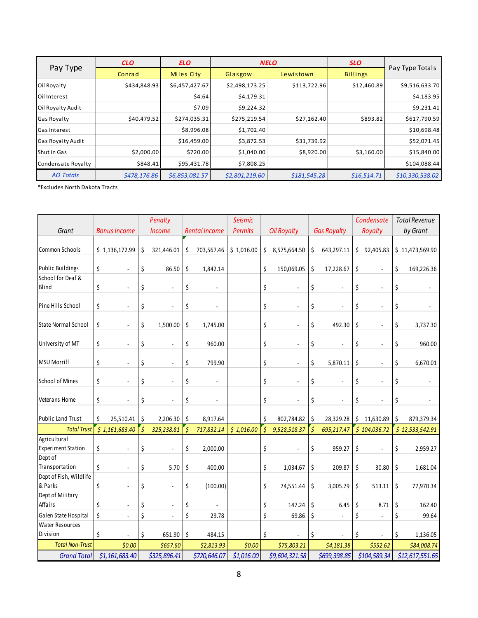|                          | <b>CLO</b>   | <b>ELO</b>     |                | <b>NELO</b>  | <b>SLO</b>      |                 |  |
|--------------------------|--------------|----------------|----------------|--------------|-----------------|-----------------|--|
| Pay Type                 | Conrad       | Miles City     | Glasgow        | Lewistown    | <b>Billings</b> | Pay Type Totals |  |
| Oil Royalty              | \$434,848.93 | \$6,457,427.67 | \$2,498,173.25 | \$113,722.96 | \$12,460.89     | \$9,516,633.70  |  |
| Oil Interest             |              | \$4.64         | \$4,179.31     |              |                 | \$4,183.95      |  |
| Oil Royalty Audit        |              | \$7.09         | \$9,224.32     |              |                 | \$9,231.41      |  |
| <b>Gas Royalty</b>       | \$40,479.52  | \$274,035.31   | \$275,219.54   | \$27,162.40  | \$893.82        | \$617,790.59    |  |
| <b>Gas Interest</b>      |              | \$8,996.08     | \$1,702.40     |              |                 | \$10,698.48     |  |
| <b>Gas Royalty Audit</b> |              | \$16,459.00    | \$3,872.53     | \$31,739.92  |                 | \$52,071.45     |  |
| Shut in Gas              | \$2,000.00   | \$720.00       | \$1,040.00     | \$8,920.00   | \$3,160.00      | \$15,840.00     |  |
| Condensate Royalty       | \$848.41     | \$95,431.78    | \$7,808.25     |              |                 | \$104,088.44    |  |
| <b>AO Totals</b>         | \$478,176.86 | \$6,853,081.57 | \$2,801,219.60 | \$181,545.28 | \$16,514.71     | \$10,330,538.02 |  |

\*Excludes North Dakota Tracts

|                                           |    |                          |         | Penalty                  |         |                          | <b>Seismic</b> |                          |                    |                      |                          | Condensate                     | <b>Total Revenue</b> |
|-------------------------------------------|----|--------------------------|---------|--------------------------|---------|--------------------------|----------------|--------------------------|--------------------|----------------------|--------------------------|--------------------------------|----------------------|
| Grant                                     |    | <b>Bonus Income</b>      |         | <b>Income</b>            |         | <b>Rental Income</b>     | <b>Permits</b> |                          | <b>Oil Royalty</b> |                      | <b>Gas Royalty</b>       | Royalty                        | by Grant             |
| Common Schools                            |    | \$1,136,172.99           | \$      | 321,446.01               | \$      | 703,567.46               | \$1,016.00     | \$                       | 8,575,664.50       | \$                   | 643,297.11               | \$<br>92,405.83                | \$11,473,569.90      |
| <b>Public Buildings</b>                   | \$ |                          | \$      | 86.50                    | \$      | 1,842.14                 |                | \$                       | 150,069.05         | \$                   | 17,228.67                | \$<br>$\blacksquare$           | \$<br>169,226.36     |
| School for Deaf &<br>Blind                | \$ |                          | \$      |                          | \$      |                          |                | \$                       | ä,                 | \$                   |                          | \$                             | \$                   |
| Pine Hills School                         | \$ |                          | \$      |                          | \$      |                          |                | \$                       |                    | \$                   |                          | \$                             | \$                   |
| <b>State Normal School</b>                | \$ |                          | \$      | 1,500.00                 | \$      | 1,745.00                 |                | \$                       |                    | \$                   | 492.30                   | \$<br>÷,                       | \$<br>3,737.30       |
| University of MT                          | \$ | ÷,                       | \$      | ÷,                       | \$      | 960.00                   |                | \$                       | ÷                  | \$                   | $\overline{\phantom{a}}$ | \$<br>÷,                       | \$<br>960.00         |
| <b>MSU Morrill</b>                        | \$ | $\blacksquare$           | \$      | $\blacksquare$           | \$      | 799.90                   |                | \$                       | ÷,                 | \$                   | 5,870.11                 | \$<br>÷,                       | \$<br>6,670.01       |
| <b>School of Mines</b>                    | \$ | $\overline{\phantom{a}}$ | \$      | $\overline{\phantom{a}}$ | \$      | $\overline{\phantom{a}}$ |                | \$                       | $\blacksquare$     | \$                   | $\overline{\phantom{a}}$ | \$<br>$\overline{\phantom{a}}$ | \$                   |
| Veterans Home                             | \$ | $\blacksquare$           | \$      | $\overline{\phantom{a}}$ | \$      |                          |                | \$                       | ÷,                 | \$                   | $\blacksquare$           | \$                             | \$                   |
| <b>Public Land Trust</b>                  | Ś. | 25,510.41                | \$      | 2,206.30                 | \$      | 8,917.64                 |                | \$                       | 802,784.82         | \$                   | 28,329.28                | \$<br>11,630.89                | \$<br>879,379.34     |
| <b>Total Trust</b>                        |    | \$1,161,683.40           | $\zeta$ | 325,238.81               | $\zeta$ | 717,832.14               | \$1,016.00     | $\overline{\mathcal{S}}$ | 9,528,518.37       | $\boldsymbol{\zeta}$ | 695,217.47               | \$104,036.72                   | \$12,533,542.91      |
| Agricultural<br><b>Experiment Station</b> | \$ |                          | \$      |                          | \$      | 2,000.00                 |                | \$                       |                    | \$                   | 959.27                   | \$                             | \$<br>2,959.27       |
| Dept of<br>Transportation                 | \$ |                          | \$      | 5.70                     | \$      | 400.00                   |                | \$                       | 1,034.67           | \$                   | 209.87                   | \$<br>30.80                    | \$<br>1,681.04       |
| Dept of Fish, Wildlife<br>& Parks         | \$ | ÷,                       | \$      | $\overline{\phantom{a}}$ | \$      | (100.00)                 |                | \$                       | 74,551.44          | \$                   | 3,005.79                 | \$<br>513.11                   | \$<br>77,970.34      |
| Dept of Military<br>Affairs               | \$ |                          | \$      | $\blacksquare$           | \$      |                          |                | \$                       | 147.24             | \$                   | 6.45                     | \$<br>8.71                     | \$<br>162.40         |
| Galen State Hospital                      | \$ |                          | \$      |                          | \$      | 29.78                    |                | \$                       | 69.86              | \$                   |                          | \$                             | \$<br>99.64          |
| <b>Water Resources</b><br>Division        | \$ |                          | \$      | 651.90                   | \$      | 484.15                   |                | \$                       |                    | \$                   |                          | \$                             | \$<br>1,136.05       |
| <b>Total Non-Trust</b>                    |    | \$0.00                   |         | \$657.60                 |         | \$2,813.93               | \$0.00         |                          | \$75,803.21        |                      | \$4,181.38               | \$552.62                       | \$84,008.74          |
| <b>Grand Total</b>                        |    | \$1,161,683.40           |         | \$325,896.41             |         | \$720,646.07             | \$1,016.00     |                          | \$9,604,321.58     |                      | \$699,398.85             | \$104,589.34                   | \$12,617,551.65      |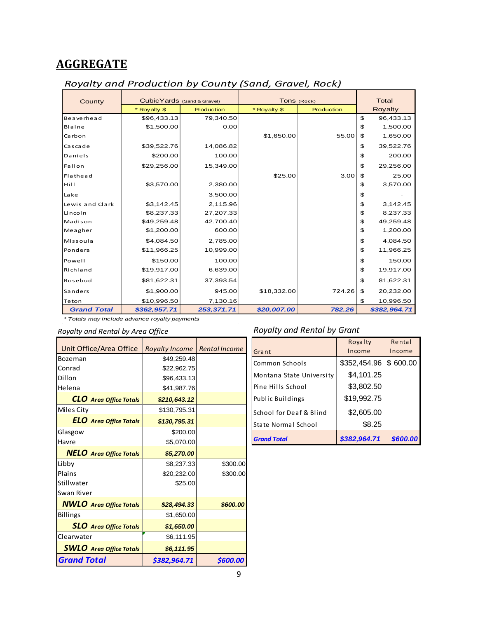# <span id="page-9-0"></span>**AGGREGATE**

| County             | Cubic Yards (Sand & Gravel) |            | Tons (Rock)  |                   | <b>Total</b>    |
|--------------------|-----------------------------|------------|--------------|-------------------|-----------------|
|                    | * Royalty \$                | Production | * Royalty \$ | <b>Production</b> | Royalty         |
| Beaverhead         | \$96,433.13                 | 79,340.50  |              |                   | \$<br>96,433.13 |
| Blaine             | \$1,500.00                  | 0.00       |              |                   | \$<br>1,500.00  |
| Carbon             |                             |            | \$1,650.00   | 55.00             | \$<br>1,650.00  |
| Cascade            | \$39,522.76                 | 14,086.82  |              |                   | \$<br>39,522.76 |
| Daniels            | \$200.00                    | 100.00     |              |                   | \$<br>200.00    |
| Fallon             | \$29,256.00                 | 15,349.00  |              |                   | \$<br>29,256.00 |
| Flathead           |                             |            | \$25.00      | 3.00              | \$<br>25.00     |
| Hill               | \$3,570.00                  | 2,380.00   |              |                   | \$<br>3,570.00  |
| Lake               |                             | 3,500.00   |              |                   | \$              |
| Lewis and Clark    | \$3,142.45                  | 2,115.96   |              |                   | \$<br>3,142.45  |
| Lincoln            | \$8,237.33                  | 27,207.33  |              |                   | \$<br>8,237.33  |
| Madison            | \$49,259.48                 | 42,700.40  |              |                   | \$<br>49,259.48 |
| Meagher            | \$1,200.00                  | 600.00     |              |                   | \$<br>1,200.00  |
| Missoula           | \$4,084.50                  | 2,785.00   |              |                   | \$<br>4,084.50  |
| Pondera            | \$11,966.25                 | 10,999.00  |              |                   | \$<br>11,966.25 |
| Powell             | \$150.00                    | 100.00     |              |                   | \$<br>150.00    |
| Richland           | \$19,917.00                 | 6,639.00   |              |                   | \$<br>19,917.00 |
| Rosebud            | \$81,622.31                 | 37,393.54  |              |                   | \$<br>81,622.31 |
| Sanders            | \$1,900.00                  | 945.00     | \$18,332.00  | 724.26            | \$<br>20,232.00 |
| Teton              | \$10,996.50                 | 7,130.16   |              |                   | \$<br>10,996.50 |
| <b>Grand Total</b> | \$362,957.71                | 253,371.71 | \$20,007.00  | 782.26            | \$382,964.71    |

#### *Royalty and Production by County (Sand, Gravel, Rock)*

*\* Totals may include advance royalty payments*

| Unit Office/Area Office        | Royalty Income   Rental Income |          |
|--------------------------------|--------------------------------|----------|
| Bozeman                        | \$49,259.48                    |          |
| Conrad                         | \$22,962.75                    |          |
| Dillon                         | \$96,433.13                    |          |
| Helena                         | \$41,987.76                    |          |
| <b>CLO</b> Area Office Totals  | \$210,643.12                   |          |
| Miles City                     | \$130,795.31                   |          |
| <b>ELO</b> Area Office Totals  | \$130,795.31                   |          |
| Glasgow                        | \$200.00                       |          |
| Havre                          | \$5,070.00                     |          |
| <b>NELO</b> Area Office Totals | \$5,270.00                     |          |
| Libby                          | \$8,237.33                     | \$300.00 |
| Plains                         | \$20,232.00                    | \$300.00 |
| Stillwater                     | \$25.00                        |          |
| Swan River                     |                                |          |
| <b>NWLO</b> Area Office Totals | \$28,494.33                    | \$600.00 |
| <b>Billings</b>                | \$1,650.00                     |          |
| <b>SLO</b> Area Office Totals  | \$1,650.00                     |          |
| Clearwater                     | \$6,111.95                     |          |
| <b>SWLO</b> Area Office Totals | \$6,111.95                     |          |
| <b>Grand Total</b>             | \$382,964.71                   | \$600.00 |

#### *Royalty and Rental by Area Office Royalty and Rental by Grant*

|                          | Royalty      | Rental   |
|--------------------------|--------------|----------|
| Grant                    | Income       | Income   |
| Common Schools           | \$352,454.96 | \$600.00 |
| Montana State University | \$4,101.25   |          |
| Pine Hills School        | \$3,802.50   |          |
| Public Buildings         | \$19,992.75  |          |
| School for Deaf & Blind  | \$2,605.00   |          |
| State Normal School      | \$8.25       |          |
| <b>Grand Total</b>       | \$382,964.71 | \$600.00 |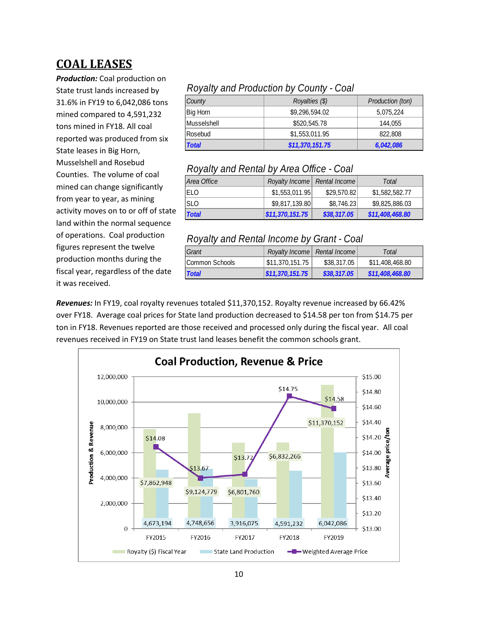# <span id="page-10-0"></span>**COAL LEASES**

*Production:* Coal production on State trust lands increased by 31.6% in FY19 to 6,042,086 tons mined compared to 4,591,232 tons mined in FY18. All coal reported was produced from six State leases in Big Horn, Musselshell and Rosebud Counties. The volume of coal mined can change significantly from year to year, as mining activity moves on to or off of state land within the normal sequence of operations. Coal production figures represent the twelve production months during the fiscal year, regardless of the date it was received.

#### *Royalty and Production by County - Coal*

| County       | Royalties (\$)  | Production (ton) |
|--------------|-----------------|------------------|
| Big Horn     | \$9,296,594.02  | 5,075,224        |
| Musselshell  | \$520,545.78    | 144.055          |
| Rosebud      | \$1,553,011.95  | 822,808          |
| <b>Total</b> | \$11,370,151.75 | 6,042,086        |

#### *Royalty and Rental by Area Office - Coal*

| Area Office  | Royalty Income   Rental Income |             | Total           |
|--------------|--------------------------------|-------------|-----------------|
| <b>IELO</b>  | \$1,553,011.95                 | \$29,570.82 | \$1,582,582.77  |
| <b>SLO</b>   | \$9.817.139.80                 | \$8,746,23  | \$9,825,886.03  |
| <b>Total</b> | \$11,370,151.75                | \$38,317.05 | \$11,408,468.80 |

#### *Royalty and Rental Income by Grant - Coal*

| Grant           | Royalty Income   Rental Income |             | Total           |
|-----------------|--------------------------------|-------------|-----------------|
| ICommon Schools | $\frac{1}{2}$ \$11,370,151.75  | \$38,317,05 | \$11,408,468.80 |
| <b>Total</b>    | \$11,370,151.75                | \$38,317.05 | \$11,408,468.80 |

*Revenues:* In FY19, coal royalty revenues totaled \$11,370,152. Royalty revenue increased by 66.42% over FY18. Average coal prices for State land production decreased to \$14.58 per ton from \$14.75 per ton in FY18. Revenues reported are those received and processed only during the fiscal year. All coal revenues received in FY19 on State trust land leases benefit the common schools grant.

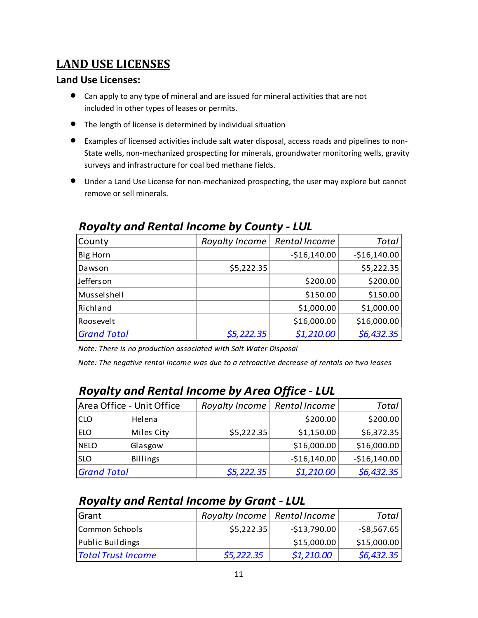# <span id="page-11-0"></span>**LAND USE LICENSES**

### **Land Use Licenses:**

- Can apply to any type of mineral and are issued for mineral activities that are not included in other types of leases or permits.
- The length of license is determined by individual situation
- Examples of licensed activities include salt water disposal, access roads and pipelines to non-State wells, non-mechanized prospecting for minerals, groundwater monitoring wells, gravity surveys and infrastructure for coal bed methane fields.
- Under a Land Use License for non-mechanized prospecting, the user may explore but cannot remove or sell minerals.

| County             | Royalty Income | Rental Income | Total         |
|--------------------|----------------|---------------|---------------|
| Big Horn           |                | $-$16,140.00$ | $-$16,140.00$ |
| Dawson             | \$5,222.35     |               | \$5,222.35    |
| Jefferson          |                | \$200.00      | \$200.00      |
| Musselshell        |                | \$150.00      | \$150.00      |
| Richland           |                | \$1,000.00    | \$1,000.00    |
| Roosevelt          |                | \$16,000.00   | \$16,000.00   |
| <b>Grand Total</b> | \$5,222.35     | \$1,210.00    | \$6,432.35    |

# *Royalty and Rental Income by County - LUL*

*Note: There is no production associated with Salt Water Disposal*

*Note: The negative rental income was due to a retroactive decrease of rentals on two leases*

|                    | Area Office - Unit Office | Royalty Income | Rental Income | <b>Total</b>  |
|--------------------|---------------------------|----------------|---------------|---------------|
| <b>CLO</b>         | Helena                    |                | \$200.00      | \$200.00]     |
| <b>ELO</b>         | Miles City                | \$5,222.35     | \$1,150.00    | \$6,372.35    |
| <b>NELO</b>        | Glasgow                   |                | \$16,000.00   | \$16,000.00   |
| <b>SLO</b>         | <b>Billings</b>           |                | $-$16,140.00$ | $-$16,140.00$ |
| <b>Grand Total</b> |                           | \$5,222.35     | \$1,210.00    | \$6,432.35    |

# *Royalty and Rental Income by Area Office - LUL*

# *Royalty and Rental Income by Grant - LUL*

| <b>I</b> Grant            | Royalty Income   Rental Income |               | Total        |
|---------------------------|--------------------------------|---------------|--------------|
| Common Schools            | \$5,222.35                     | $-$13,790.00$ | $-$8,567.65$ |
| Public Buildings          |                                | \$15,000.00   | \$15,000.00  |
| <b>Total Trust Income</b> | \$5,222.35                     | \$1,210.00    | \$6,432.35   |